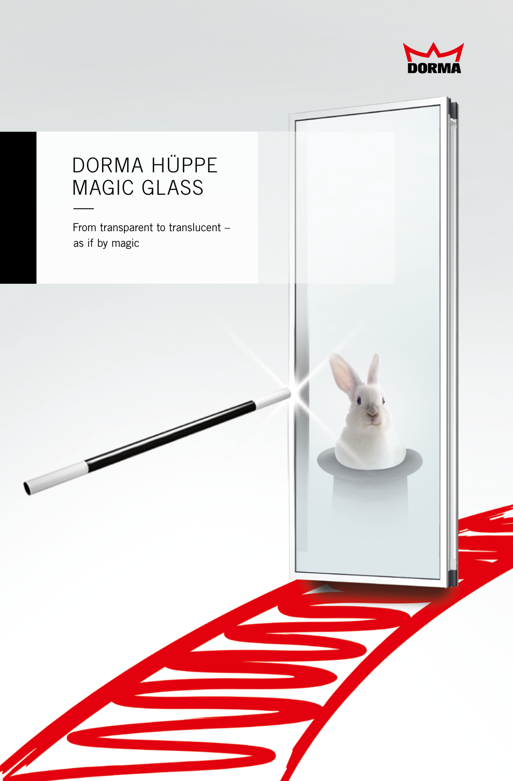

# From transparent to translucent – as if by magic DORMA HÜPPE MAGIC GLASS  $\frac{1}{\sqrt{2}}$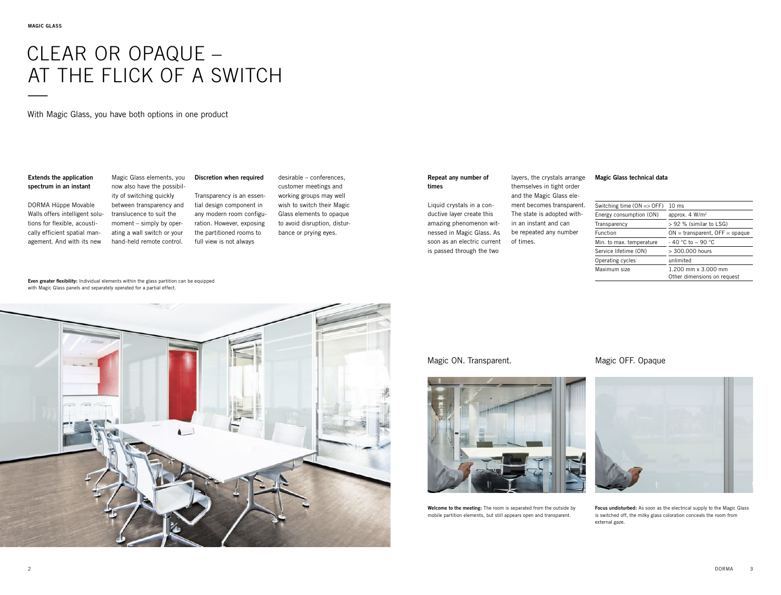# CLEAR OR OPAQUE – AT THE FLICK OF A SWITCH —<br>—<br>—

With Magic Glass, you have both options in one product

## **Extends the application spectrum in an instant**

DORMA Hüppe Movable Walls offers intelligent solutions for flexible, acoustically efficient spatial management. And with its new

**Discretion when required** Magic Glass elements, you now also have the possibil-

Transparency is an essential design component in any modern room configuration. However, exposing the partitioned rooms to full view is not always ity of switching quickly between transparency and translucence to suit the moment – simply by operating a wall switch or your hand-held remote control.

desirable – conferences, customer meetings and working groups may well wish to switch their Magic Glass elements to opaque to avoid disruption, disturbance or prying eyes.

#### **Repeat any number of times**

Liquid crystals in a conductive layer create this amazing phenomenon witnessed in Magic Glass. As soon as an electric current is passed through the two

layers, the crystals arrange themselves in tight order and the Magic Glass element becomes transparent. The state is adopted within an instant and can be repeated any number of times.

## **Magic Glass technical data**

| Switching time $(ON = DCF)$ | $10 \text{ ms}$                                    |
|-----------------------------|----------------------------------------------------|
| Energy consumption (ON)     | approx. $4 W/m^2$                                  |
| Transparency                | $> 92$ % (similar to LSG)                          |
| Function                    | $ON = transparent$ , OFF = opaque                  |
| Min. to max. temperature    | $-$ 40 °C to $\sim$ 90 °C                          |
| Service lifetime (ON)       | $> 300.000$ hours                                  |
| Operating cycles            | unlimited                                          |
| Maximum size                | 1.200 mm x 3.000 mm<br>Other dimensions on request |

**Even greater flexibility:** Individual elements within the glass partition can be equipped with Magic Glass panels and separately operated for a partial effect.



# Magic ON. Transparent.



**Welcome to the meeting:** The room is separated from the outside by mobile partition elements, but still appears open and transparent.

# Magic OFF. Opaque



**Focus undisturbed:** As soon as the electrical supply to the Magic Glass is switched off, the milky glass coloration conceals the room from external gaze.